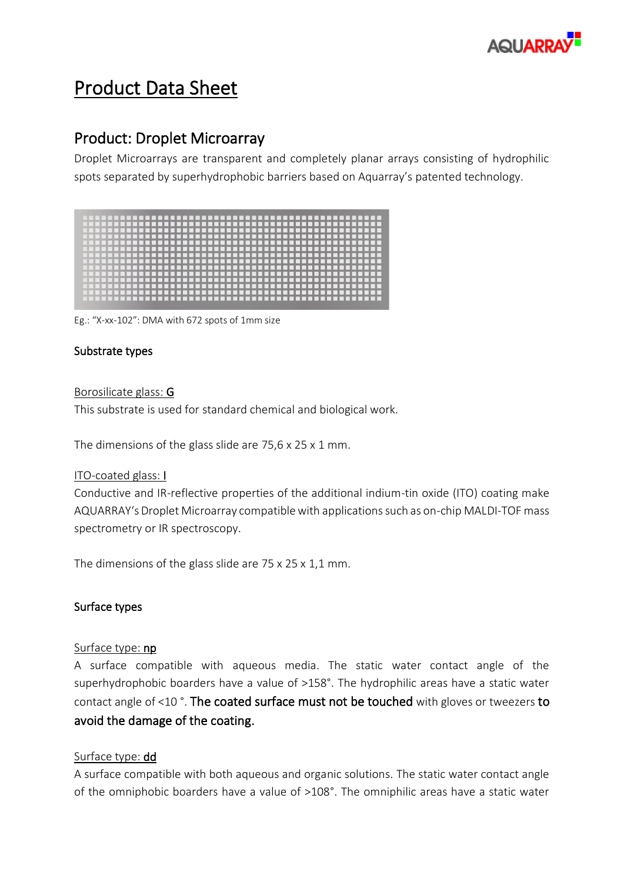

# Product Data Sheet

# Product: Droplet Microarray

Droplet Microarrays are transparent and completely planar arrays consisting of hydrophilic spots separated by superhydrophobic barriers based on Aquarray's patented technology.

Eg.: "X-xx-102": DMA with 672 spots of 1mm size

## Substrate types

#### Borosilicate glass: G

This substrate is used for standard chemical and biological work.

The dimensions of the glass slide are 75,6 x 25 x 1 mm.

#### ITO-coated glass: I

Conductive and IR-reflective properties of the additional indium-tin oxide (ITO) coating make AQUARRAY's Droplet Microarray compatible with applications such as on-chip MALDI-TOF mass spectrometry or IR spectroscopy.

The dimensions of the glass slide are 75 x 25 x 1,1 mm.

## Surface types

#### Surface type: np

A surface compatible with aqueous media. The static water contact angle of the superhydrophobic boarders have a value of >158°. The hydrophilic areas have a static water contact angle of <10 °. The coated surface must not be touched with gloves or tweezers to avoid the damage of the coating.

#### Surface type: dd

A surface compatible with both aqueous and organic solutions. The static water contact angle of the omniphobic boarders have a value of >108°. The omniphilic areas have a static water